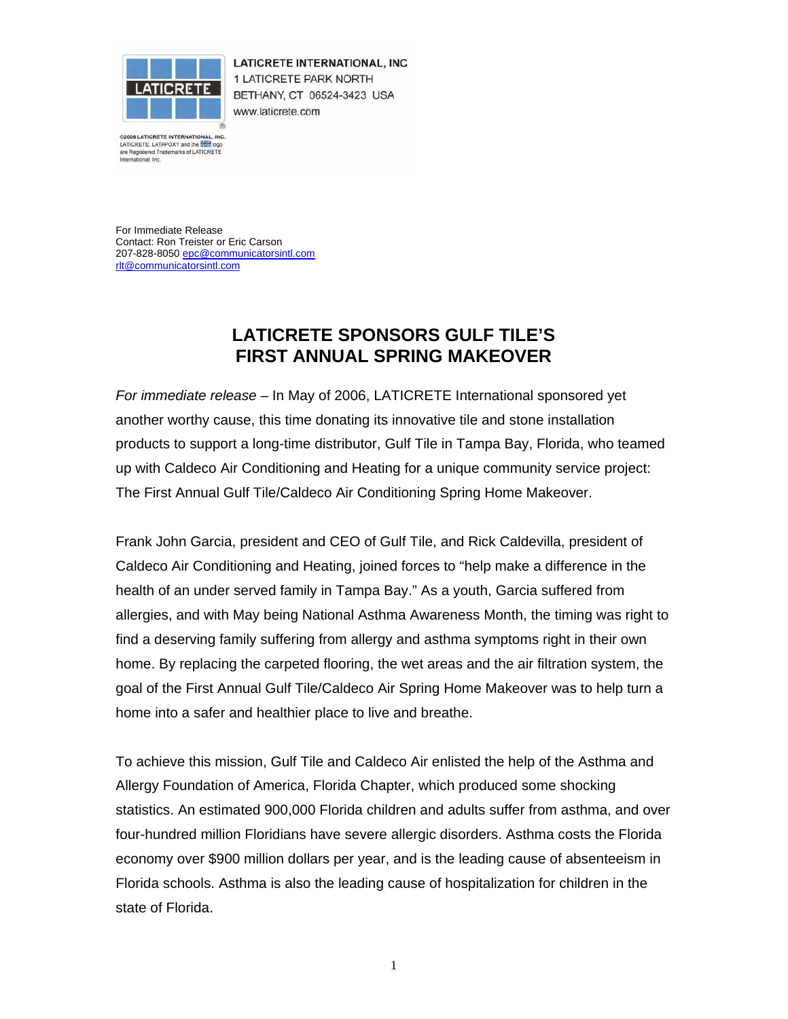

**LATICRETE INTERNATIONAL, INC** 1 LATICRETE PARK NORTH BETHANY, CT 06524-3423 USA www.laticrete.com

@2005 LATICRETE INTERNATIONAL, INC. LATICRETE, LATAPOXY and the **first logo** are Registered Trademarks of LATICRETE<br>International, Inc.

For Immediate Release Contact: Ron Treister or Eric Carson 207-828-8050 epc@communicatorsintl.com rlt@communicatorsintl.com

## **LATICRETE SPONSORS GULF TILE'S FIRST ANNUAL SPRING MAKEOVER**

*For immediate release* – In May of 2006, LATICRETE International sponsored yet another worthy cause, this time donating its innovative tile and stone installation products to support a long-time distributor, Gulf Tile in Tampa Bay, Florida, who teamed up with Caldeco Air Conditioning and Heating for a unique community service project: The First Annual Gulf Tile/Caldeco Air Conditioning Spring Home Makeover.

Frank John Garcia, president and CEO of Gulf Tile, and Rick Caldevilla, president of Caldeco Air Conditioning and Heating, joined forces to "help make a difference in the health of an under served family in Tampa Bay." As a youth, Garcia suffered from allergies, and with May being National Asthma Awareness Month, the timing was right to find a deserving family suffering from allergy and asthma symptoms right in their own home. By replacing the carpeted flooring, the wet areas and the air filtration system, the goal of the First Annual Gulf Tile/Caldeco Air Spring Home Makeover was to help turn a home into a safer and healthier place to live and breathe.

To achieve this mission, Gulf Tile and Caldeco Air enlisted the help of the Asthma and Allergy Foundation of America, Florida Chapter, which produced some shocking statistics. An estimated 900,000 Florida children and adults suffer from asthma, and over four-hundred million Floridians have severe allergic disorders. Asthma costs the Florida economy over \$900 million dollars per year, and is the leading cause of absenteeism in Florida schools. Asthma is also the leading cause of hospitalization for children in the state of Florida.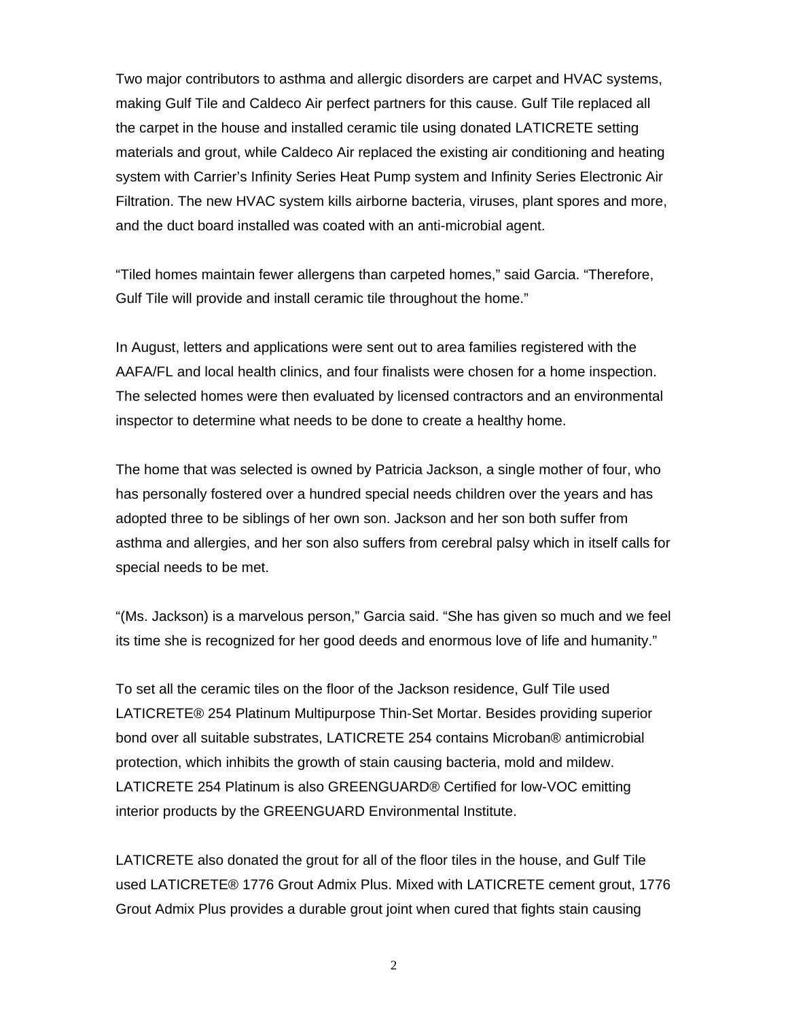Two major contributors to asthma and allergic disorders are carpet and HVAC systems, making Gulf Tile and Caldeco Air perfect partners for this cause. Gulf Tile replaced all the carpet in the house and installed ceramic tile using donated LATICRETE setting materials and grout, while Caldeco Air replaced the existing air conditioning and heating system with Carrier's Infinity Series Heat Pump system and Infinity Series Electronic Air Filtration. The new HVAC system kills airborne bacteria, viruses, plant spores and more, and the duct board installed was coated with an anti-microbial agent.

"Tiled homes maintain fewer allergens than carpeted homes," said Garcia. "Therefore, Gulf Tile will provide and install ceramic tile throughout the home."

In August, letters and applications were sent out to area families registered with the AAFA/FL and local health clinics, and four finalists were chosen for a home inspection. The selected homes were then evaluated by licensed contractors and an environmental inspector to determine what needs to be done to create a healthy home.

The home that was selected is owned by Patricia Jackson, a single mother of four, who has personally fostered over a hundred special needs children over the years and has adopted three to be siblings of her own son. Jackson and her son both suffer from asthma and allergies, and her son also suffers from cerebral palsy which in itself calls for special needs to be met.

"(Ms. Jackson) is a marvelous person," Garcia said. "She has given so much and we feel its time she is recognized for her good deeds and enormous love of life and humanity."

To set all the ceramic tiles on the floor of the Jackson residence, Gulf Tile used LATICRETE® 254 Platinum Multipurpose Thin-Set Mortar. Besides providing superior bond over all suitable substrates, LATICRETE 254 contains Microban® antimicrobial protection, which inhibits the growth of stain causing bacteria, mold and mildew. LATICRETE 254 Platinum is also GREENGUARD® Certified for low-VOC emitting interior products by the GREENGUARD Environmental Institute.

LATICRETE also donated the grout for all of the floor tiles in the house, and Gulf Tile used LATICRETE® 1776 Grout Admix Plus. Mixed with LATICRETE cement grout, 1776 Grout Admix Plus provides a durable grout joint when cured that fights stain causing

2